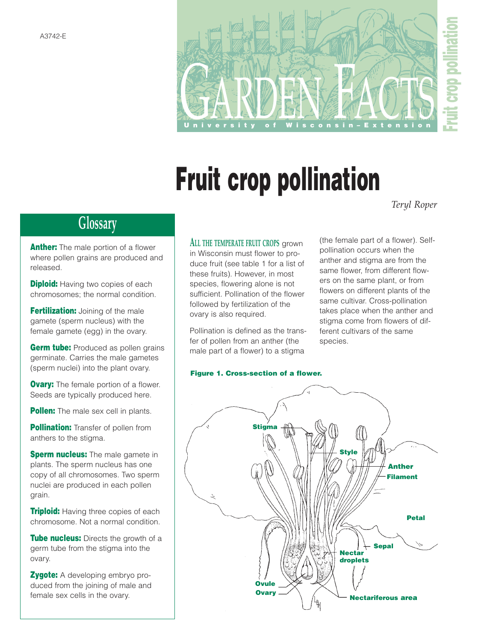

# **Fruit crop pollination**

*Teryl Roper*

## **Glossary**

**Anther:** The male portion of a flower where pollen grains are produced and released.

**Diploid:** Having two copies of each chromosomes; the normal condition.

**Fertilization:** Joining of the male gamete (sperm nucleus) with the female gamete (egg) in the ovary.

**Germ tube:** Produced as pollen grains germinate. Carries the male gametes (sperm nuclei) into the plant ovary.

**Ovary:** The female portion of a flower. Seeds are typically produced here.

**Pollen:** The male sex cell in plants.

**Pollination:** Transfer of pollen from anthers to the stigma.

**Sperm nucleus:** The male gamete in plants. The sperm nucleus has one copy of all chromosomes. Two sperm nuclei are produced in each pollen grain.

**Triploid:** Having three copies of each chromosome. Not a normal condition.

**Tube nucleus:** Directs the growth of a germ tube from the stigma into the ovary.

**Zygote:** A developing embryo produced from the joining of male and female sex cells in the ovary.

**ALL THE TEMPERATE FRUIT CROPS** grown in Wisconsin must flower to produce fruit (see table 1 for a list of these fruits). However, in most species, flowering alone is not sufficient. Pollination of the flower followed by fertilization of the ovary is also required.

Pollination is defined as the transfer of pollen from an anther (the male part of a flower) to a stigma

(the female part of a flower). Selfpollination occurs when the anther and stigma are from the same flower, from different flowers on the same plant, or from flowers on different plants of the same cultivar. Cross-pollination takes place when the anther and stigma come from flowers of different cultivars of the same species.

### **Figure 1. Cross-section of a flower.**

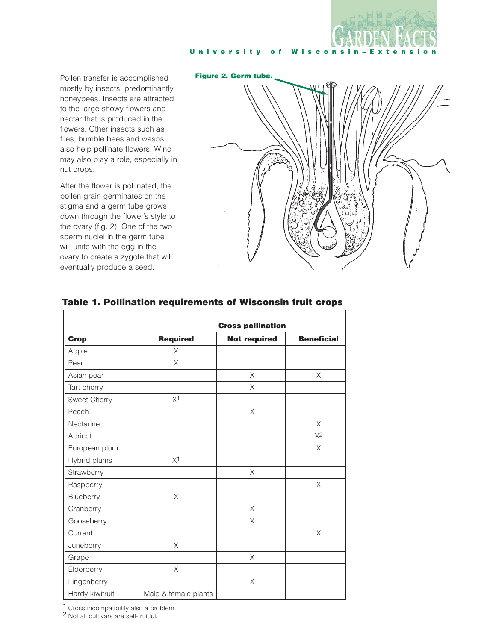

Pollen transfer is accomplished mostly by insects, predominantly honeybees. Insects are attracted to the large showy flowers and nectar that is produced in the flowers. Other insects such as flies, bumble bees and wasps also help pollinate flowers. Wind may also play a role, especially in nut crops.

After the flower is pollinated, the pollen grain germinates on the stigma and a germ tube grows down through the flower's style to the ovary (fig. 2). One of the two sperm nuclei in the germ tube will unite with the egg in the ovary to create a zygote that will eventually produce a seed.

# **Figure 2. Germ tube.**

| <b>Crop</b>     | <b>Cross pollination</b> |                     |                   |
|-----------------|--------------------------|---------------------|-------------------|
|                 | <b>Required</b>          | <b>Not required</b> | <b>Beneficial</b> |
| Apple           | X                        |                     |                   |
| Pear            | $\times$                 |                     |                   |
| Asian pear      |                          | X                   | X                 |
| Tart cherry     |                          | X                   |                   |
| Sweet Cherry    | X <sup>1</sup>           |                     |                   |
| Peach           |                          | X                   |                   |
| Nectarine       |                          |                     | $\times$          |
| Apricot         |                          |                     | $X^2$             |
| European plum   |                          |                     | X                 |
| Hybrid plums    | X <sup>1</sup>           |                     |                   |
| Strawberry      |                          | X                   |                   |
| Raspberry       |                          |                     | X                 |
| Blueberry       | $\mathsf X$              |                     |                   |
| Cranberry       |                          | $\times$            |                   |
| Gooseberry      |                          | X                   |                   |
| Currant         |                          |                     | X                 |
| Juneberry       | $\times$                 |                     |                   |
| Grape           |                          | X                   |                   |
| Elderberry      | $\times$                 |                     |                   |
| Lingonberry     |                          | X                   |                   |
| Hardy kiwifruit | Male & female plants     |                     |                   |

### **Table 1. Pollination requirements of Wisconsin fruit crops**

1 Cross incompatibility also a problem.

2 Not all cultivars are self-fruitful.